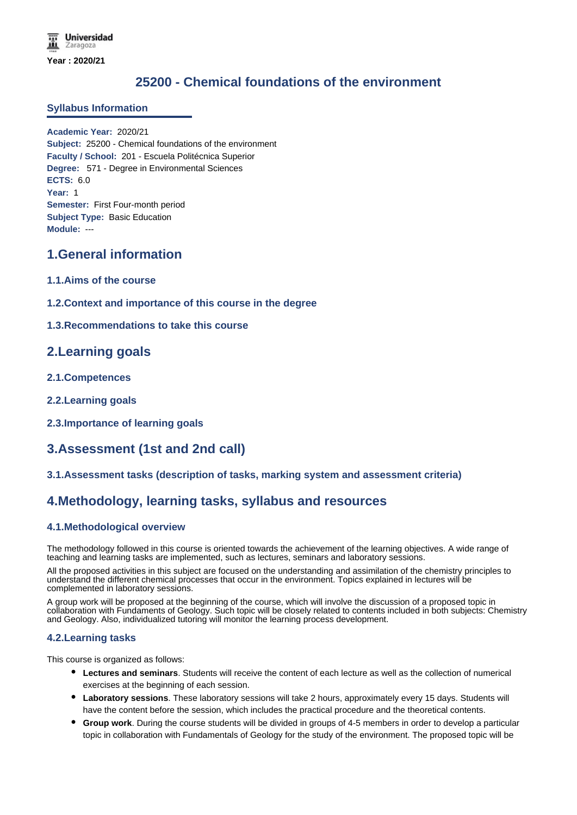# **25200 - Chemical foundations of the environment**

#### **Syllabus Information**

**Academic Year:** 2020/21 **Subject:** 25200 - Chemical foundations of the environment **Faculty / School:** 201 - Escuela Politécnica Superior **Degree:** 571 - Degree in Environmental Sciences **ECTS:** 6.0 **Year:** 1 **Semester:** First Four-month period **Subject Type:** Basic Education **Module:** ---

## **1.General information**

- **1.1.Aims of the course**
- **1.2.Context and importance of this course in the degree**
- **1.3.Recommendations to take this course**

## **2.Learning goals**

- **2.1.Competences**
- **2.2.Learning goals**
- **2.3.Importance of learning goals**

## **3.Assessment (1st and 2nd call)**

#### **3.1.Assessment tasks (description of tasks, marking system and assessment criteria)**

## **4.Methodology, learning tasks, syllabus and resources**

#### **4.1.Methodological overview**

The methodology followed in this course is oriented towards the achievement of the learning objectives. A wide range of teaching and learning tasks are implemented, such as lectures, seminars and laboratory sessions.

All the proposed activities in this subject are focused on the understanding and assimilation of the chemistry principles to understand the different chemical processes that occur in the environment. Topics explained in lectures will be complemented in laboratory sessions.

A group work will be proposed at the beginning of the course, which will involve the discussion of a proposed topic in collaboration with Fundaments of Geology. Such topic will be closely related to contents included in both subjects: Chemistry and Geology. Also, individualized tutoring will monitor the learning process development.

#### **4.2.Learning tasks**

This course is organized as follows:

- **Lectures and seminars**. Students will receive the content of each lecture as well as the collection of numerical exercises at the beginning of each session.
- **Laboratory sessions**. These laboratory sessions will take 2 hours, approximately every 15 days. Students will have the content before the session, which includes the practical procedure and the theoretical contents.
- **Group work**. During the course students will be divided in groups of 4-5 members in order to develop a particular topic in collaboration with Fundamentals of Geology for the study of the environment. The proposed topic will be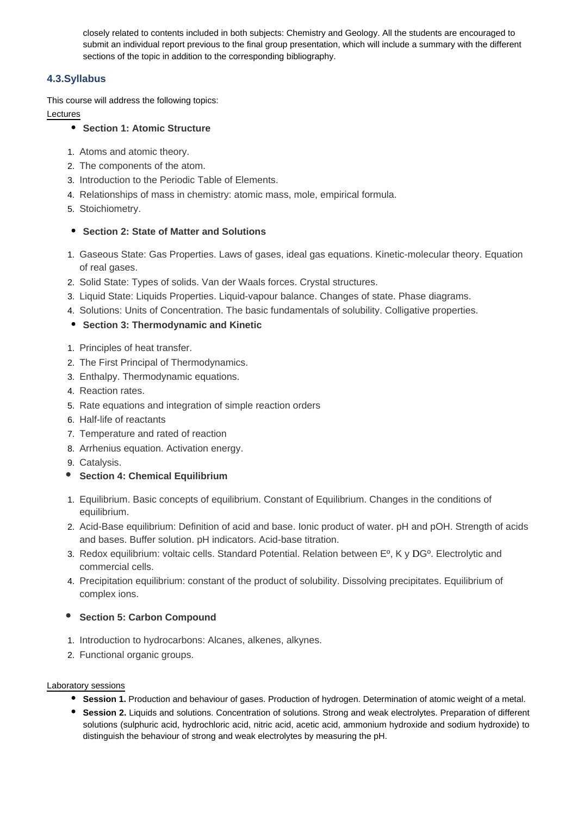closely related to contents included in both subjects: Chemistry and Geology. All the students are encouraged to submit an individual report previous to the final group presentation, which will include a summary with the different sections of the topic in addition to the corresponding bibliography.

### **4.3.Syllabus**

This course will address the following topics:

### Lectures

### **Section 1: Atomic Structure**

- 1. Atoms and atomic theory.
- 2. The components of the atom.
- 3. Introduction to the Periodic Table of Elements.
- 4. Relationships of mass in chemistry: atomic mass, mole, empirical formula.
- 5. Stoichiometry.

### **• Section 2: State of Matter and Solutions**

- 1. Gaseous State: Gas Properties. Laws of gases, ideal gas equations. Kinetic-molecular theory. Equation of real gases.
- 2. Solid State: Types of solids. Van der Waals forces. Crystal structures.
- 3. Liquid State: Liquids Properties. Liquid-vapour balance. Changes of state. Phase diagrams.
- 4. Solutions: Units of Concentration. The basic fundamentals of solubility. Colligative properties.
- **Section 3: Thermodynamic and Kinetic**
- 1. Principles of heat transfer.
- 2. The First Principal of Thermodynamics.
- 3. Enthalpy. Thermodynamic equations.
- 4. Reaction rates.
- 5. Rate equations and integration of simple reaction orders
- 6. Half-life of reactants
- 7. Temperature and rated of reaction
- 8. Arrhenius equation. Activation energy.
- 9. Catalysis.
- **•** Section 4: Chemical Equilibrium
- 1. Equilibrium. Basic concepts of equilibrium. Constant of Equilibrium. Changes in the conditions of equilibrium.
- 2. Acid-Base equilibrium: Definition of acid and base. Ionic product of water. pH and pOH. Strength of acids and bases. Buffer solution. pH indicators. Acid-base titration.
- 3. Redox equilibrium: voltaic cells. Standard Potential. Relation between Eº, K y DGº. Electrolytic and commercial cells.
- 4. Precipitation equilibrium: constant of the product of solubility. Dissolving precipitates. Equilibrium of complex ions.

## **•** Section 5: Carbon Compound

- 1. Introduction to hydrocarbons: Alcanes, alkenes, alkynes.
- 2. Functional organic groups.

#### Laboratory sessions

- **Session 1.** Production and behaviour of gases. Production of hydrogen. Determination of atomic weight of a metal.
- **Session 2.** Liquids and solutions. Concentration of solutions. Strong and weak electrolytes. Preparation of different solutions (sulphuric acid, hydrochloric acid, nitric acid, acetic acid, ammonium hydroxide and sodium hydroxide) to distinguish the behaviour of strong and weak electrolytes by measuring the pH.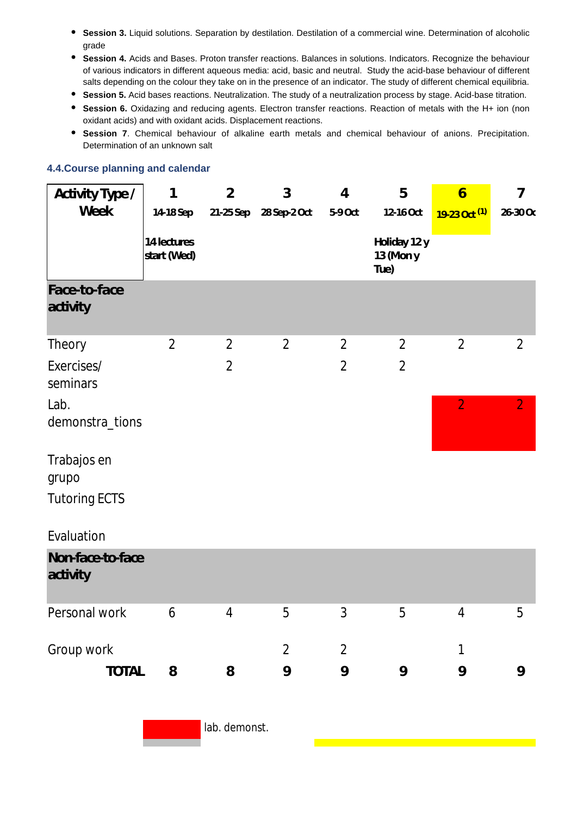- $\bullet$ **Session 3.** Liquid solutions. Separation by destilation. Destilation of a commercial wine. Determination of alcoholic grade
- **Session 4.** Acids and Bases. Proton transfer reactions. Balances in solutions. Indicators. Recognize the behaviour of various indicators in different aqueous media: acid, basic and neutral. Study the acid-base behaviour of different salts depending on the colour they take on in the presence of an indicator. The study of different chemical equilibria.
- **Session 5.** Acid bases reactions. Neutralization. The study of a neutralization process by stage. Acid-base titration.
- **Session 6.** Oxidazing and reducing agents. Electron transfer reactions. Reaction of metals with the H+ ion (non oxidant acids) and with oxidant acids. Displacement reactions.
- **Session 7**. Chemical behaviour of alkaline earth metals and chemical behaviour of anions. Precipitation. Determination of an unknown salt

#### **4.4.Course planning and calendar**

| Activity Type /              | 1                          | $\overline{2}$ | 3              | $\overline{4}$ | 5                                 | $\overline{6}$           | 7              |
|------------------------------|----------------------------|----------------|----------------|----------------|-----------------------------------|--------------------------|----------------|
| Week                         | 14-18 Sep                  | 21-25 Sep      | 28 Sep-2 Oct   | 5-9 Oct        | 12-16 Oct                         | 19-23 Oct <sup>(1)</sup> | 26-30 Oc       |
|                              | 14 lectures<br>start (Wed) |                |                |                | Holiday 12 y<br>13 (Mon y<br>Tue) |                          |                |
| Face-to-face<br>activity     |                            |                |                |                |                                   |                          |                |
| Theory                       | $\overline{2}$             | $\overline{2}$ | $\overline{2}$ | $\overline{2}$ | $\overline{2}$                    | $\overline{2}$           | $\overline{2}$ |
| Exercises/<br>seminars       |                            | $\overline{2}$ |                | $\overline{2}$ | $\overline{2}$                    |                          |                |
| Lab.<br>demonstra_tions      |                            |                |                |                |                                   | $\overline{2}$           | $\overline{2}$ |
| Trabajos en<br>grupo         |                            |                |                |                |                                   |                          |                |
| <b>Tutoring ECTS</b>         |                            |                |                |                |                                   |                          |                |
| Evaluation                   |                            |                |                |                |                                   |                          |                |
| Non-face-to-face<br>activity |                            |                |                |                |                                   |                          |                |
| Personal work                | 6                          | $\overline{4}$ | 5              | 3              | 5                                 | $\overline{4}$           | 5              |
| Group work                   |                            |                | $\overline{2}$ | $\overline{2}$ |                                   | 1                        |                |
| <b>TOTAL</b>                 | 8                          | 8              | 9              | 9              | 9                                 | 9                        | 9              |

lab. demonst.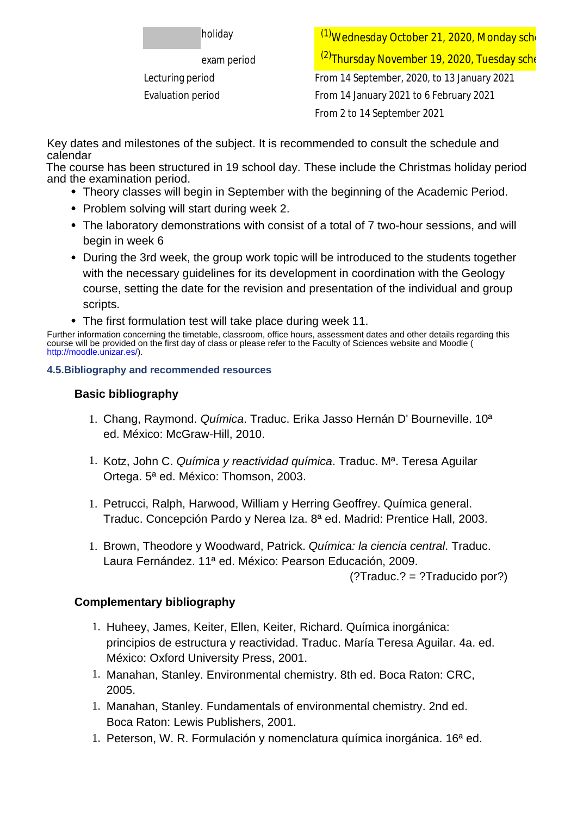| ∄holiday |  |
|----------|--|
|----------|--|

<sup>(1)</sup>Wednesday October 21, 2020, Monday sche exam period **Exam period** (2) Thursday November 19, 2020, Tuesday sche Lecturing period From 14 September, 2020, to 13 January 2021 Evaluation period From 14 January 2021 to 6 February 2021 From 2 to 14 September 2021

Key dates and milestones of the subject. It is recommended to consult the schedule and calendar

The course has been structured in 19 school day. These include the Christmas holiday period and the examination period.

- Theory classes will begin in September with the beginning of the Academic Period.
- Problem solving will start during week 2.
- The laboratory demonstrations with consist of a total of 7 two-hour sessions, and will begin in week 6
- During the 3rd week, the group work topic will be introduced to the students together with the necessary guidelines for its development in coordination with the Geology course, setting the date for the revision and presentation of the individual and group scripts.
- The first formulation test will take place during week 11.

Further information concerning the timetable, classroom, office hours, assessment dates and other details regarding this course will be provided on the first day of class or please refer to the Faculty of Sciences website and Moodle ( http://moodle.unizar.es/).

## **4.5.Bibliography and recommended resources**

# **Basic bibliography**

- 1. Chang, Raymond. Química. Traduc. Erika Jasso Hernán D' Bourneville. 10<sup>a</sup> ed. México: McGraw-Hill, 2010.
- 1. Kotz, John C. Química y reactividad química. Traduc. M<sup>a</sup>. Teresa Aguilar Ortega. 5ª ed. México: Thomson, 2003.
- 1. Petrucci, Ralph, Harwood, William y Herring Geoffrey. Química general. Traduc. Concepción Pardo y Nerea Iza. 8ª ed. Madrid: Prentice Hall, 2003.
- 1. Brown, Theodore y Woodward, Patrick. Química: la ciencia central. Traduc. Laura Fernández. 11ª ed. México: Pearson Educación, 2009.

(?Traduc.? = ?Traducido por?)

# **Complementary bibliography**

- 1. Huheey, James, Keiter, Ellen, Keiter, Richard. Química inorgánica: principios de estructura y reactividad. Traduc. María Teresa Aguilar. 4a. ed. México: Oxford University Press, 2001.
- 1. Manahan, Stanley. Environmental chemistry. 8th ed. Boca Raton: CRC, 2005.
- 1. Manahan, Stanley. Fundamentals of environmental chemistry. 2nd ed. Boca Raton: Lewis Publishers, 2001.
- 1. Peterson, W. R. Formulación y nomenclatura química inorgánica. 16ª ed.